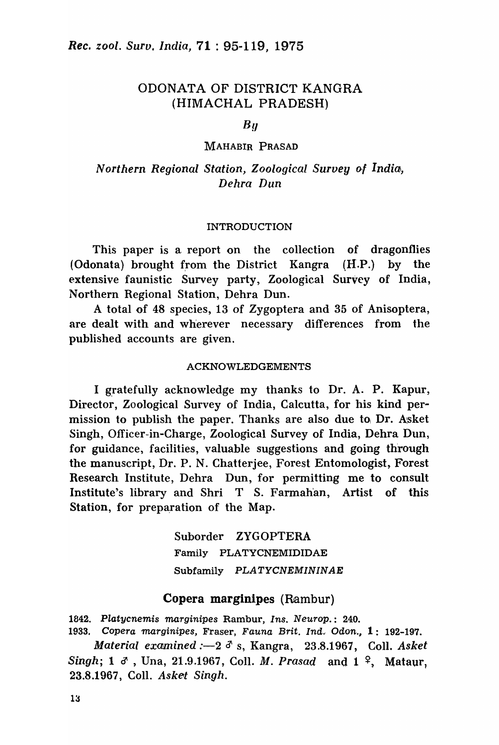# ODONATA OF DISTRICT KANGRA (HIMACHAL PRADESH)

 $B<sub>U</sub>$ 

### MAHABIR PRASAD

# *Northern Regional Station, Zoological Survey* o{ *India,*  Dehra Dun

#### INTRODUCTION

This paper is a report on the collection of dragonflies (Odonata) brought from the District Kangra (H.P.) by the extensive faunistic Survey party, Zoological Survey of India, Northern Regional Station, Dehra Dun.

A total of 48 species, 13 of Zygoptera and 35 of Anisoptera, are dealt with and wherever necessary differences from the published accounts are given.

#### ACKNOWLEDGEMENTS

I gratefully acknowledge my thanks to Dr. A. P. Kapur, Director, Zoological Survey of India, Calcutta, for his kind permission to publish the paper. Thanks are also due to Dr. Asket Singh, Officer-in-Charge, Zoological Survey of India, Dehra Dun, for guidance, facilities, valuable suggestions and going through the manuscript, Dr. P. N. Chatterjee, Forest Entomologist, Forest Research Institute, Dehra Dun, for permitting me to consult Institute's library and Shri T S. Farmah'an, Artist of this Station, for preparation of the Map.

> Suborder ZYGOPTERA Family PLATYCNEMIDIDAE Subfamily PLATYCNEMININAE

### Copera marginipes (Rambur)

1842. Platycnemis marginipes Rambur, Ins. Neurop.: 240.

1933. Copera marginipes, Fraser, Fauna Brit. Ind. Odon., 1: 192-197.

*Material examined* :-2  $\delta$  s, Kangra, 23.8.1967, Coll. *Asket Singh;* 1  $\sigma$ , Una, 21.9.1967, Coll. *M. Prasad* and 1<sup>2</sup>, Mataur, 23.8.1967, Coll. Asket Singh.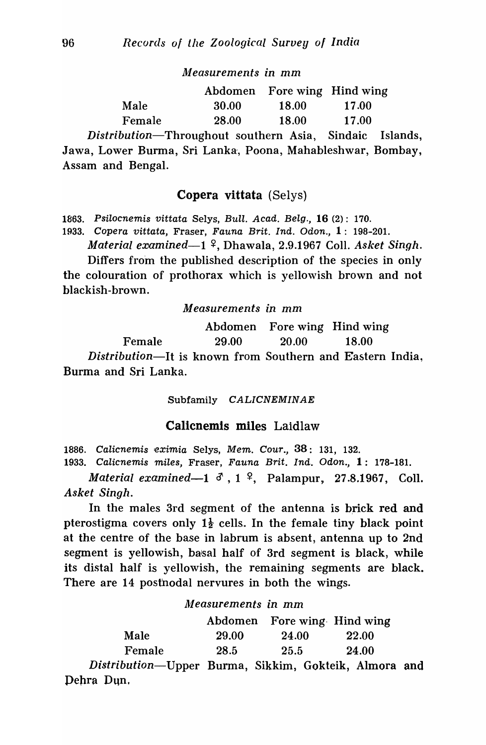*Measurements in* mm

|        |       | Abdomen Fore wing Hind wing |       |
|--------|-------|-----------------------------|-------|
| Male   | 30.00 | 18.00                       | 17.00 |
| Female | 28.00 | 18.00                       | 17.00 |

*Distribution-Throughout* southern Asia, Sindaic Islands, Jawa, Lower Burma, Sri Lanka, Poona, Mahableshwar, Bombay, Assam and Bengal.

# Copera vittata (Selys)

1863. Psilocnemis vittata Selys, Bull. Acad. Belg., 16 (2): 170.

1933. Copera vittata, Fraser, Fauna Brit. Ind. Odon., 1: 198-20l.

*Material examined*—1<sup>2</sup>, Dhawala, 2.9.1967 Coll. *Asket Singh.* 

Differs from the published description of the species in only the colouration of prothorax which is yellowish brown and not blackish-brown.

### *Measurements in* mm

Female Abdomen Fore wing Hind wing 29.00 20.00 18.00 *Distribution*—It is known from Southern and Eastern India, Burma and Sri Lanka.

Subfamily CALICNEMINAE

## Calicnemis miles Laidlaw

1886. Calicnemis eximia Selys, Mem. Cour., 38: 131, 132. 1933. Calicnemis miles, Fraser, Fauna Brit. Ind. Odon., 1: 178-181.

*Material examined*-1  $\delta$ , 1 <sup>2</sup>, Palampur, 27.8.1967, Coll. *Asket Singh.* 

In the males 3rd segment of the antenna is brick red and pterostigma covers only  $1\frac{1}{2}$  cells. In the female tiny black point at the centre of the base in labrum is absent, antenna up to 2nd segment is yellowish, basal half of 3rd segment is black, while its distal half is yellowish, the remaining segments are black. There are 14 postnodal nervures in both the wings.

*Measurements in* mm

|                      |       | Abdomen Fore wing Hind wing                                         |                 |
|----------------------|-------|---------------------------------------------------------------------|-----------------|
| Male                 | 29.00 | 24.00                                                               | <b>22.00</b>    |
| Female               | 28.5  | 25.5                                                                | <b>24.00</b>    |
| $\Gamma$ iotribution |       | $\mathbf{I}$ lanen Dermaa $\mathbf{C}$ ilelan $\mathbf{C}$ aletaile | $\lambda$ lmand |

*Distribution-Upper* Burma, Sikkim, Gokteik, Almora and Dehra Dun,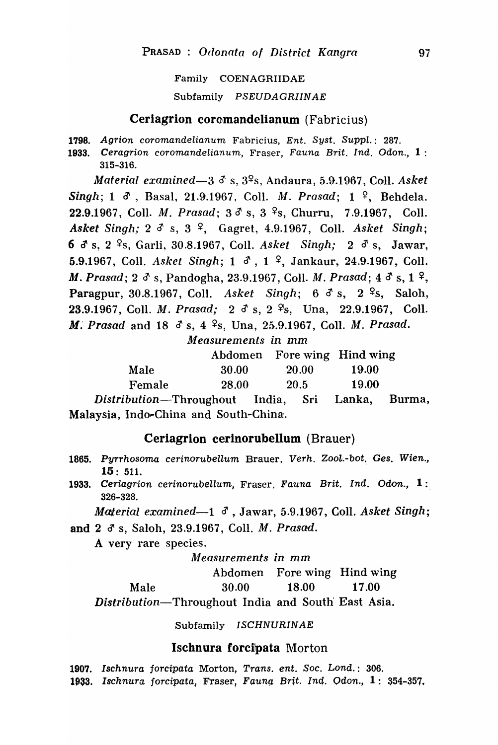#### Family COENAGRIIDAE

### Subfamily PSEUDAGRIINAE

### Ceriagrion coromandelianum (Fabricius)

1798. Agrion coromandelianum Fabricius, Ent. Syst. Suppl.: 287.

1933. Ceragrion coromandelianum, Fraser, Fauna Brit. Ind. Odon., 1: 315-316.

*Material examined*—3  $\delta$  s,  $3\frac{6}{5}$ , Andaura, 5.9.1967, Coll. *Asket Singh;* 1  $\delta$ , Basal, 21.9.1967, Coll. *M. Prasad;* 1 <sup>2</sup>, Behdela. 22.9.1967, Coll. *M. Prasad*;  $3\delta s$ ,  $3\delta s$ , Churru, 7.9.1967, Coll. *Asket Singh;* 2  $\delta$  s, 3  $\frac{9}{7}$ , Gagret, 4.9.1967, Coll. *Asket Singh*; 6 d' s, 2 ~s, Garli, 30.8.1967, CoIl. *Asket* Singh; 23's, Jawar, 5.9.1967, Coll. *Asket Singh*; 1  $\delta$ , 1 <sup>2</sup>, Jankaur, 24.9.1967, Coll. *M. Prasad; 2 d s, Pandogha, 23.9.1967, Coll. M. Prasad; 4 d s, 1 <sup>2</sup>,* Paragpur, 30.8.1967, Coll. Asket Singh; 6 ds, 2 <sup>2</sup>s, Saloh, 23.9.1967, Coll. *M. Prasad;* 2 d s, 2 <sup>9</sup>s, Una, 22.9.1967, Coll. *M. Prasad and 18 3 s, 4 <sup>9</sup>s, Una, 25.9.1967, Coll. <i>M. Prasad.* 

*Measurements in* mm

|        |                          |              | Abdomen Fore wing Hind wing |
|--------|--------------------------|--------------|-----------------------------|
| Male   | 30.00                    | <b>20.00</b> | 19.00                       |
| Female | <b>28.00</b>             | <b>20.5</b>  | 19.00                       |
|        | $\mathbf{L}$<br>$T = 32$ | $C_{-}$ :    | $I_{\alpha}$ $I_{\alpha}$   |

*Distribution-Throughout* India, Sri Lanka, Burma, Malaysia, Indo~China and South-China.

## Ceriagrion cerinorubellum (Brauer)

- 1865. Pyrrhosoma cerinorubellum Brauer, Verh. Zool.-bot. Ges. Wien., 15: 511.
- 1933. Ceriagrion cerinorubellum, Fraser, Fauna Brit. Ind. Odon., 1: 326-328.

*Material examined*—1  $\delta$ , Jawar, 5.9.1967, Coll. *Asket Singh*;

and 2  $\delta$  s, Saloh, 23.9.1967, Coll. *M. Prasad.* 

A very rare species.

### *Measurements* in mm

Abdomen Fore wing Hind wing

Male 30.00 18.00 17.00

*Distribution-Throughout* India and South' East Asia.

Subfamily ISCHNURINAE

### Ischnura forcipata Morton

1907. Ischnura forcipata Morton, Trans. ent. Soc. Lond.: 306. 1933. Ischnura forcipata, Fraser, Fauna Brit. Ind. Odon., 1: 354-357.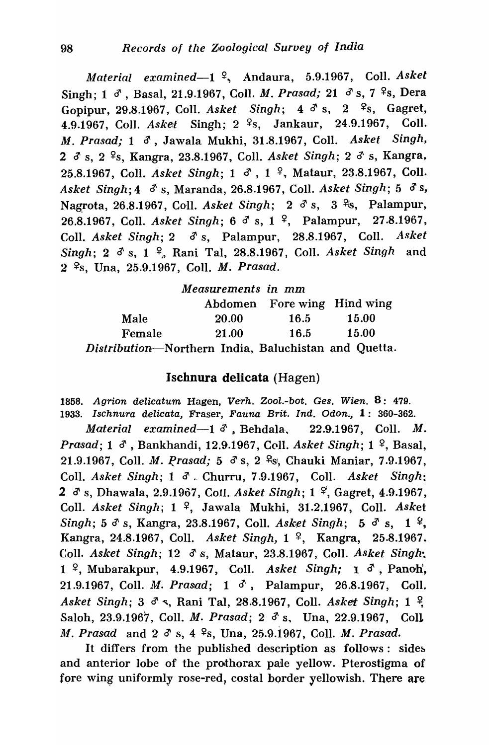*Material examined*—1<sup>2</sup>, Andaura, 5.9.1967, Coll. *Asket* Singh; 1 d<sup>1</sup>, Basal, 21.9.1967, Coll. M. *Prasad;* 21 d<sup>3</sup>s, 7<sup>2</sup>s, Dera Gopipur, 29.8.1967, Coll. *Asket Singh*; 4  $\delta$  s, 2  $\frac{6}{5}$ , Gagret, 4.9.1967, Coll. *Asket* Singh; 2 <sup>9</sup>s, Jankaur, 24.9.1967, Coll. M. *Prasad;* 1 d', Jawala Mukhi, 31.8.1967, ColI. *Asket* Singh, 2  $\delta$  s, 2 <sup>2</sup>s, Kangra, 23.8.1967, Coll. *Asket Singh*; 2  $\delta$  s, Kangra, 25.8.1967, Coll. *Asket Singh*; 1  $\sigma$ , 1 <sup>2</sup>, Mataur, 23.8.1967, Coll. *Asket Singh*; 4 d's, Maranda, 26.8.1967, Coll. *Asket Singh*; 5 d's, Nagrota, 26.8.1967, Coll. *Asket Singh*; 2  $\delta$  s, 3  $\frac{9}{5}$ , Palampur, 26.8.1967, Coll. *Asket Singh*; 6 d s, 1 <sup>2</sup>, Palampur, 27.8.1967, Coll. *Asket Singh*; 2  $\sigma$  s, Palampur, 28.8.1967, Coll. *Asket Singh*; 2  $\delta$  s, 1 <sup>2</sup>, Rani Tal, 28.8.1967, Coll. *Asket Singh* and 2 ~s, Una, 25·.9.1967, ColI. M. *Prasad.* 

|                                                      | Measurements in mm |      |                             |
|------------------------------------------------------|--------------------|------|-----------------------------|
|                                                      |                    |      | Abdomen Fore wing Hind wing |
| Male                                                 | <b>20.00</b>       | 16.5 | <b>15.00</b>                |
| Female                                               | 21.00              | 16.5 | <b>15.00</b>                |
| Distribution-Northern India, Baluchistan and Quetta. |                    |      |                             |

## Ischnura delicata (Hagen)

1858. Agrion delicatum Hagen, Verh. Zool.-bot. Ges. Wien.  $8:479$ . 1933. Ischnura delicata, Fraser, Fauna Brit. Ind. Odon., 1: 360-362.

*Material examined*-1 <sup>3</sup>, Behdala, 22.9.1967, Coll. M. *Prasad;* 1  $\sigma$ , Bankhandi, 12.9.1967, Coll. *Asket Singh;* 1  $\sigma$ , Basal, 21.9.1967, Coll. *M. Prasad; 5 ds.* 2 <sup>9</sup>s, Chauki Maniar, 7.9.1967, ColI. *Asket Singh;* 1 *c1' •.* ChUITU, 7.9.1967, ColI. *Asket Singh:*  2 <sup>*d*</sup> s, Dhawala, 2.9.1967, Coll. *Asket Singh*; 1<sup>2</sup>, Gagret, 4.9.1967, ColI. *Asket Singh;* 1 ~, Jawala Mukhi, 31.2.1967, ColI. *Asket Singh; 5 d's, Kangra, 23.8.1967, Coll. <i>Asket Singh; 5 d's, 1*<sup>9</sup>, Kangra, 24.8.1967, Coll. Asket Singh, 1<sup>2</sup>, Kangra, 25.8.1967. Coll. *Asket Singh*; 12  $\delta$  s, Mataur, 23.8.1967, Coll. *Asket Singh*; 1<sup>º</sup>, Mubarakpur, 4.9.1967, Coll. *Asket Singh;* 1 <sup>3</sup>, Panoh, 21.9.1967, Coll. M. *Prasad;* 1 d', Palampur, 26.8.1967, CoIL *Asket Singh; 3 d s, Rani Tal, 28.8.1967, Coll. <i>Asket Singh; 1 ?* Saloh, 23.9.1967, Coll. M. *Prasad;* 2 d' s. Una, 22.9.1967, CoIL *M. Prasad and 2*  $\delta$  *s, 4 <sup>9</sup>s, Una, 25.9.1967, Coll. M. Prasad.* 

It differs from the published description as follows: sides and anterior lobe of the prothorax pale yellow. Pterostigma of fore wing uniformly rose-red, costal border yellowish. There are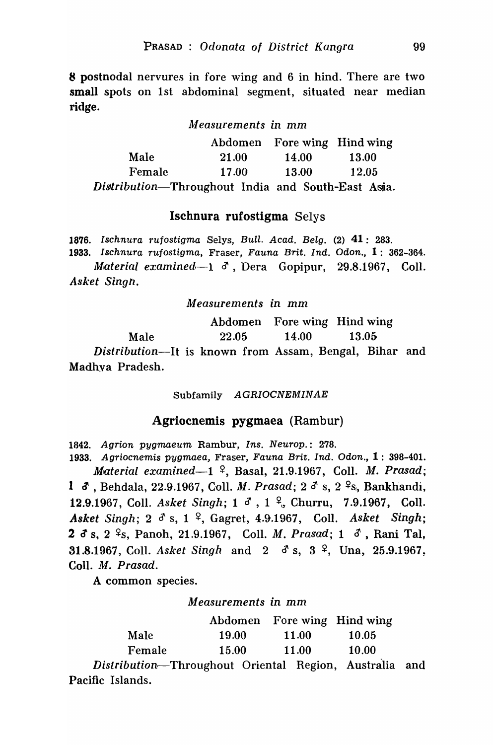8 postnodal nervures in fore wing and 6 in hind. There are two small spots on 1st abdominal segment, situated near median ridge.

### *kleasurements* in mm

|                                                    | Abdomen Fore wing Hind wing |       |              |
|----------------------------------------------------|-----------------------------|-------|--------------|
| Male                                               | 21.00                       | 14.00 | <b>13.00</b> |
| Female                                             | 17.00                       | 13.00 | 12.05        |
| Distribution-Throughout India and South-East Asia. |                             |       |              |

### Ischnura rufostigma Selys

1876. Ischnura rujostigma Selys, Bull. Acad. Belg. (2) 41: 283. 1933. Ischnura rujostigma, Fraser, Fauna Brit. Ind. Odon., 1: 362-364. *Material examined*—1  $\delta$ , Dera Gopipur, 29.8.1967, Coll. *Asket Singh.* 

*Measurements in* mm

Male Abdomen Fore wing Hind wing 22.05 14.00 13.05, *Distribution-It* is known from Assam, Bengal, Bihar and Madhva Pradesh.

Subfamily AGRIOCNEMINAE

## Agriocnemis pygmaea (Rambur)

*1842.* Agrion pygmaeum Rambur, Ins. Neurop.: *278.* 

1933. Agriocnemis pygmaea, Fraser, Fauna Brit. Ind. Odon., 1: 398-401. *Material examined-l* ~, Basal, 21.9.1967, ColI. *M. Prasad;*  1 **3**, Behdala, 22.9.1967, Coll. *M. Prasad;* 2 <sup>3</sup> s, 2 <sup>2</sup> s, Bankhandi, 12.9.1967, Coll. *Asket Singh*; 1  $\delta$ , 1 <sup>2</sup>, Churru, 7.9.1967, Coll. *Asket Singh;* 2 d' s, 1 ~, Gagret, 4.9.1967, ColI. *Asket Singh;*  2  $\sigma$  s, 2 <sup>2</sup>s, Panoh, 21.9.1967, Coll. *M. Prasad*; 1  $\sigma$ , Rani Tal, **31.8.1967, Coll.** *Asket Singh and 2*  $\delta$  *s, 3*  $\frac{9}{7}$ , Una, 25.9.1967, CoIl. M. *Prasad.* 

A common species.

*Measurements in* mm

|        |              | Abdomen Fore wing Hind wing |                |
|--------|--------------|-----------------------------|----------------|
| Male   | <b>19.00</b> | 11.00                       | 10.05          |
| Female | 15.00        | 11.00                       | <b>10.00</b>   |
|        |              |                             | $\blacksquare$ |

*Dislribution,-Throughout* Oriental Region, Australia and Pacific Islands.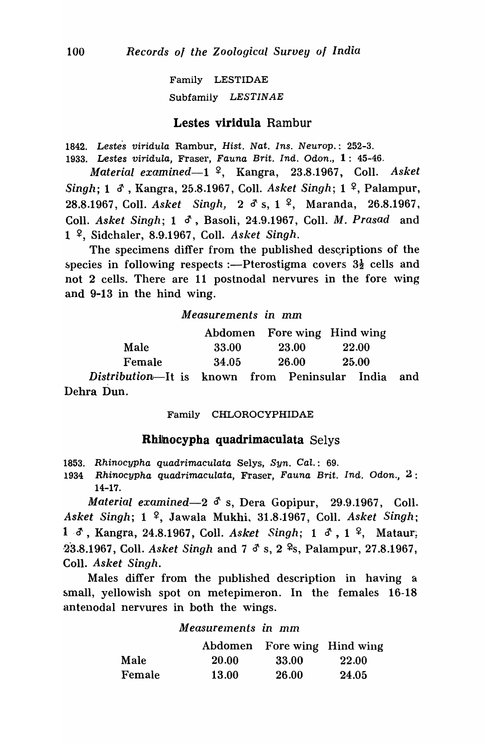Family LESTIDAE Subfamily LESTINAE

## Lestes viridula Rambur

1842. Lestes viridula Rambur, Hist. Nat. Ins. Neurop.: 252-3.

1933. Lestes viridula, Fraser, Fauna Brit. Ind. Odon.,  $1: 45-46$ .

*Material examined*—1<sup>?</sup>, Kangra, 23.8.1967, Coll. *Asket Singh*; 1  $\delta$ , Kangra, 25.8.1967, Coll. *Asket Singh*; 1 <sup>2</sup>, Palampur, 28.8.1967, Coll. *Asket Singh*, 2 <sup>3</sup> s, 1<sup>2</sup>, Maranda, 26.8.1967, Coll. *Asket Singh*; 1 d<sup>3</sup>, Basoli, 24.9.1967, Coll. *M. Prasad* and 1 ~, Sidchaler, 8.9'.1967, ColI. *Asket Singh.* 

The specimens differ from the published descriptions of the species in following respects :—Pterostigma covers  $3\frac{1}{2}$  cells and not 2 cells. There are 11 postnodal nervures in the fore wing and 9-13 in the hind wing.

## *M easur.ements in* mm

|        |       | Abdomen Fore wing Hind wing |              |
|--------|-------|-----------------------------|--------------|
| Male   | 33.00 | <b>23.00</b>                | <b>22.00</b> |
| Female | 34.05 | 26.00                       | <b>25.00</b> |
|        |       |                             |              |

*Distribution-It* is known from Peninsular India and Dehra Dun.

#### Family CHLOROCYPHIDAE

### Rhilnocypha quadrimaculata Selys

1853. Rhinocypha quadrimaculata Selys, Syn. Cal.: 69.

1934 Rhinocypha quadrimaculata, Fraser, Fauna Brit. Ind. Odon., 2: 14-17.

*Material examined-23's,* Dera Gopipur, 29.9.1967, ColI. Asket Singh; 1 <sup>2</sup>, Jawala Mukhi, 31.8.1967, Coll. *Asket Singh*; 1  $\delta$ , Kangra, 24.8.1967, Coll. *Asket Singh*; 1  $\delta$ , 1  $\delta$ , Mataur; 23.8.1967, Coll. *Asket Singh and 7 <sup>3</sup> s, 2* <sup>2</sup>s, Palampur, 27.8.1967, ColI. *Asket Singh.* 

Males differ from the published description in having a small, yellowish spot on metepimeron. In the females 16-18 antenodal nervures in both the wings.

### *Measurelnents in* mm

|        |              | Abdomen Fore wing Hind wing |       |
|--------|--------------|-----------------------------|-------|
| Male   | <b>20.00</b> | 33.00                       | 22.00 |
| Female | <b>13.00</b> | 26.00                       | 24.05 |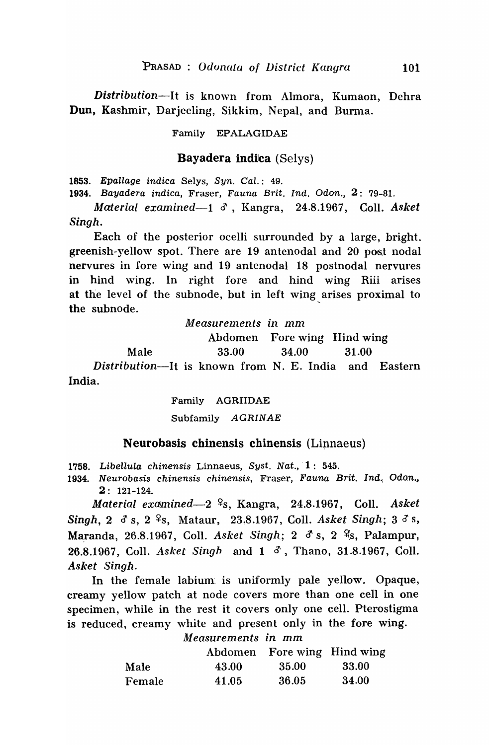*Distribution*-It is known from Almora, Kumaon, Dehra Dun, Kashmir, Darjeeling, Sikkim, Nepal, and Burma.

### Family EPALAGIDAE

### Bayadera indilca (Selys)

1853. Epallage indica Selys, Syn. Cal.: 49.

*1934.* Bayadera indica, Fraser, Fauna Brit. Ind. Odon., 2: 79-81.

*LJluterial examined-l* d', Kangra, 24.8.1967, CoIl. *Asket Singh.* 

Each of the posterior ocelli surrounded by a large, bright.. greenish-yellow spot. There are 19 antenodal and 20 post nodal nervures in fore wing and 19 antenodal 18 postnodal nervures in hind wing. In right fore and hind wing Riii arises at the level of the subnode, but in left wing arises proximal to the subnode.

*Measurements in* mm

Abdomen Fore wing Hind wing

Male 33.00 34.00 31.00

*Distribution-It* is known from N. E. India and Eastern India.

> Family AGRIIDAE Subfamily AGRINAE

## Neurobasis chinensis chinensis (Lipnaeus)

1758. Libellula chinensis Linnaeus, Syst. Nat.,  $1: 545$ .

1934. Neurobasis chinensis chinensis, Fraser, Fauna Brit. Ind.; Odon., 2: 121-124.

*Material examined-2* ~s, Kangra, 24.8.1967, ColI. *Asket*  Singh, 2  $\delta$  s, 2  $\frac{6}{5}$ , Mataur, 23.8.1967, Coll. *Asket Singh*; 3  $\delta$  s, Maranda, 26.8.1967, Coll. Asket Singh; 2 d<sup>s</sup> s, 2 <sup>9</sup>s, Palampur, 26.8.1967, Coll. *Asket Singh and 1 d*, Thano, 31.8.1967, Coll. *Asket Singh.* 

In the female labium: is uniformly pale yellow. Opaque, creamy yellow patch at node covers more than one cell in one specimen, while in the rest it covers only one cell. Pterostigma is reduced, creamy white and present only in the fore wing.

*Measurements in* mm Abdomen Fore wing Hind wing Male 43.00 35.00 33.00 Female 41.05 36.05 34.00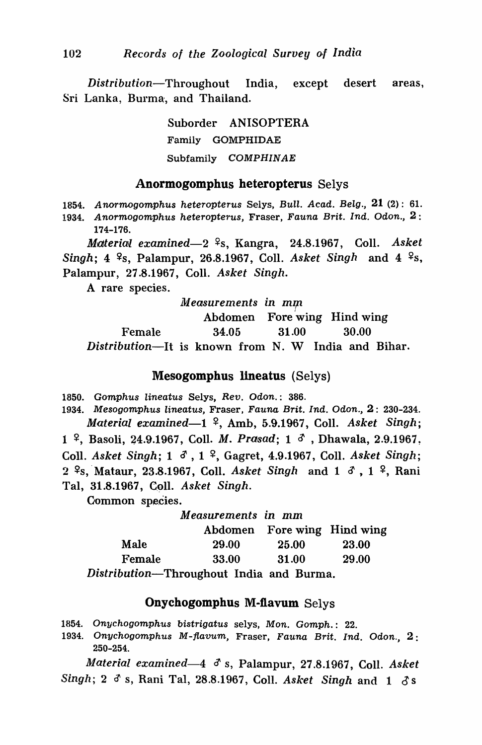*Distribution-Throughout* India, except desert areas, Sri Lanka, Burma, and Thailand.

> Suborder ANISOPTERA Family GOMPHIDAE Subfamily COMPHINAE

### Anormogomphus heteropterus Selys

1854. Anormogomphus heteropterus Selys, Bull. Acad. Belg.,  $21$  (2): 61.

1934. Anormogomphus heteropterus, Fraser, Fauna Brit. Ind. Odon.,  $2$ : 174-176.

*Material examined*—2<sup>2</sup>s, Kangra, 24.8.1967, Coll. *Asket Singh*; 4 <sup>2</sup>s, Palampur, 26.8.1967, Coll. *Asket Singh* and 4 <sup>2</sup>s, Palampur, 27.8.1967, CoIl. *Asket Singh.* 

A rare species.

1l'1 *easurements in mrp* 

Abdomen Fore wing Hind wing Female 34.05 31.00 30.00 *Distribution-It* is known from N. W India and Bihar.

### Mesogomphus lineatus (Selys)

1850. Gomphus Iineatus Selys, Rev. Odon.: 386.

1934. Mesogomphus lineatus, Fraser, Fauna Brit. Ind. Odon., 2: 230-234. *Material examined*—1 <sup>2</sup>, Amb, 5.9.1967, Coll. *Asket Singh*; 1 <sup>2</sup>, Basoli, 24.9.1967, Coll. *M. Prasad*; 1 <sup>3</sup>, Dhawala, 2.9.1967. Coll. *Asket Singh*; 1  $\delta$ , 1 <sup>2</sup>, Gagret, 4.9.1967, Coll. *Asket Singh*; 2 <sup>2</sup>s, Mataur, 23.8.1967, Coll. *Asket Singh* and 1  $\delta$ , 1 <sup>2</sup>, Rani Tal, 31.8.1967, C,911. *Asket Singh.* 

Common species.

#### *Measurements in* mm Abdomen Fore wing Hind wing Male 29.00 25.00 Female 33.00 31.00 23.00 29.00

*Distribution-Throughout* India and Burma.

## Onychogomphus M-ftavum Selys

1854. Onychogomphus bistrigatus selys, Mon. Oomph.: 22.

1934. Onychogomphus M-flavum, Fraser, Fauna Brit. Ind. Odon., 2: 250-254.

*Material examined-4* if s, Palampur, 27.8.1967, CoIl. *Asket Singh; 2 d' s, Rani Tal, 28.8.1967, Coll. Asket Singh and 1 d's*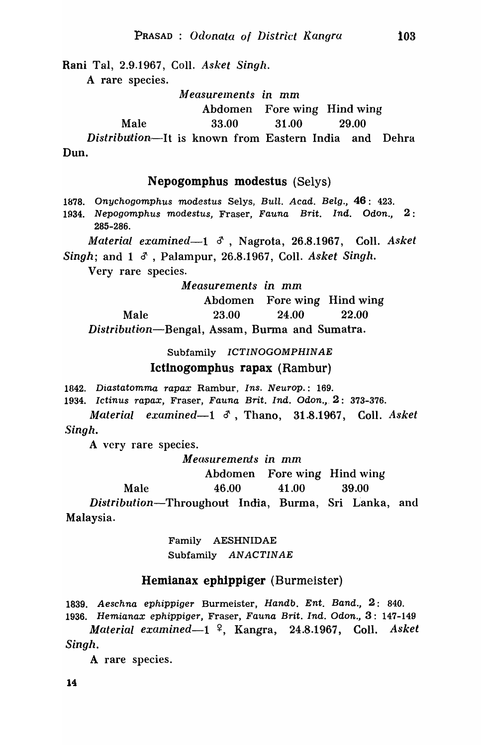Rani Tal, 2.9.1967, Coll. *Asket Singh.* 

A rare species.

*1Jt1 easurelnents in* mm

Abdomen Fore wing Hind wing

Male 33.00 31.00 29.00

*Distribution*—It is known from Eastern India and Dehra Dun.

### Nepogompbus modestus (Selys)

1878. Onychogomphus modestus Selys, Bull. Acad. Belg., 46: 423.

1934. Nepogomphus modestus, Fraser, Fauna Brit. Ind. Odon., 2 : 285-286.

*Material examined*-1  $\delta$ , Nagrota, 26.8.1967, Coll. *Asket* 

*Singh*; and 1  $\delta$ , Palampur, 26.8.1967, Coll. *Asket Singh*.

Very rare species.

*Measurements in* mm

Abdomen Fore wing Hind wing Male 23.00 24.00 22.00 *Distribution*-Bengal, Assam, Burma and Sumatra.

Subfamily ICTINOGOMPHINAE

### Ictinogompbus rapax (Ramhur)

1842. Diastatomma rapax Rambur, Ins. Neurop.: 169.

1934. Ictinus rapax, Fraser, Fauna Brit. Ind. Odon.,  $2: 373-376$ .

*Material examined*—1  $\delta$ , Thano, 31.8.1967, Coll. *Asket Singh.* 

A very rare species.

M *eatSurements in* mm

Abdomen Fore wing Hind wing

Male 46.00 41.00 39.00

*Distribution-Throughout* India, Burma, Sri Lanka, and Malaysia.

> Family AESHNIDAE Subfamily ANACTINAE

## Hemianax epb1ppiger (Burmeister)

1839. Aeschna ephippiger Burmeister, Handb. Ent. Band., 2: 840. 1936. Hemianax ephippiger, Fraser, Fauna Brit. Ind. Odon., 3: 147-149

*Material examined-l* ~, Kangra, 24.8.1967, CoIl. *Asket Singh.* 

A rare species.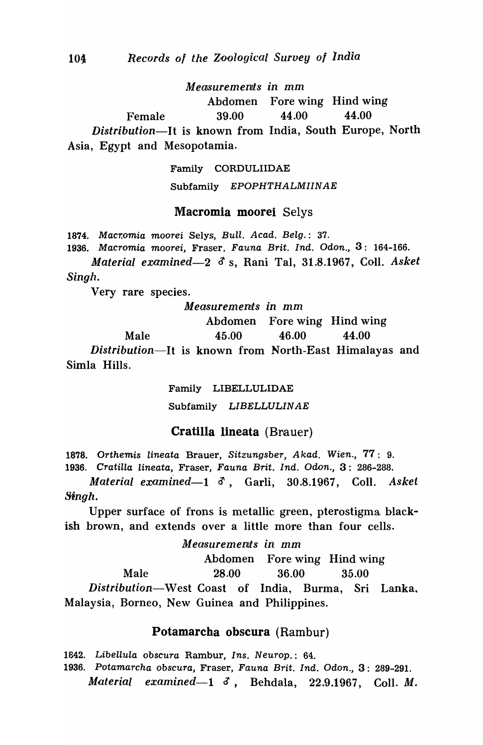*M easuremeIllts in* mm

Abdomen Fore wing Hind wing Female 39.00 44.00 44.00 *Distribution-It* is known from India, South Europe, North Asia, Egypt and Mesopotamia.

> Family CORDULIIDAE Subfamily EPOPHTHALMIINAE

### Macromia moorei Selys

1874. Macromia moorei Selys, Bull. Acad. Belg.: 37.

1936. Macromia moorei, Fraser, Fauna Brit. Ind. Odon., 3: 164-166.

*Material examined-2* 3 s, Rani Tal, 31.8.1967, CoIl. *Askel Singh.* 

Very rare species.

Male

M *easuremenis in* mm

Abdomen Fore wing Hind wing

45.00 46.00 44.00

*Distribution-It* is known from North-East Himalayas and Simla Hills.

> Family LIBELLULIDAE Subfamily LIBELLULINAE

Cratilla lineata (Brauer)

1878. Orthemis Iineata Brauer, Sitzungsber, Akad. Wien., 77: 9. 1936. Cratilla lineata, Fraser, Fauna Brit. Ind. Odon., 3: 286-288.

*Material examined*—1  $\delta$ , Garli, 30.8.1967, Coll. *Asket 8fngh.* 

Upper surface of frons is metallic green, pterostigma blackish brown, and extends over a little more than four cells.

*Measurements in mm* Abdomen Fore wing Hind wing Male 28.00 36.00 35.00 *Distribution-West* Coast of India, Burma, Sri Lanka" Malaysia, Borneo, New Guinea and Philippines.

## Potamarcha obscura (Rambur)

1842. Libellula obscura Rambur, Ins. Neurop.: 64.

1936. Potamarcha obscura, Fraser, Fauna Brit. Ind. Odon., 3: 289-291. *Material examined-1 0,* Behdala, 22.9.1967, ColI. *M.*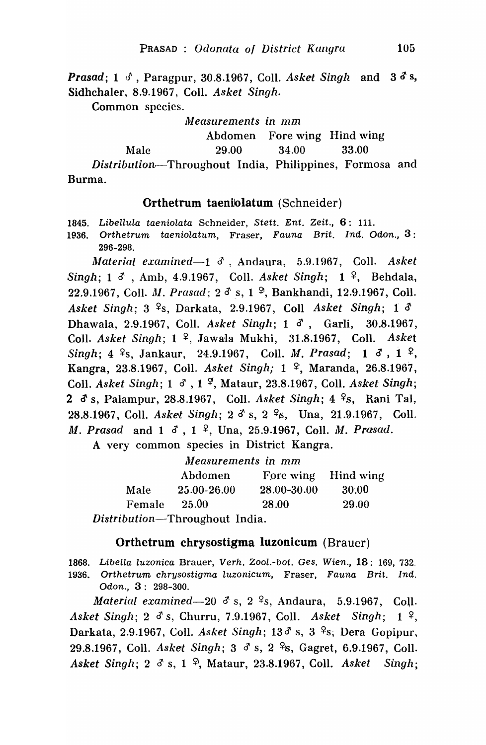*Prasad;* 1 *d*, Paragpur, 30.8.1967, Coll. *Asket Singh and 3 d<sup>s</sup> s,* Sidhchaler, 8.9.1967, ColI. *Asket Singh.* 

Common species.

*]jleasurements in* mm

Abdomen Fore wing Hind wing

Male 29.00 34.00 33.00

*Distributionr-*Throughout India, Philippines, Formosa and Burma.

# Orthetrum taeniolatum (Schneider)

1845. Libellula taeniolata Schneider, Stett. Ent. Zeit., 6: Ill.

1P36. Orthetrum taeniolatum, Fraser, Fauna Brit. Ind. Odon., 3: 296-298.

~laterial *examined-1* d' ,Andaura, 5.9.1967, ColI. *Askel Singh;* 1 d, Amb, 4.9.1967, Coll. *Asket Singh;* 1<sup>2</sup>, Behdala, 22.9.1967, Coll. *M. Prasad;*  $2^{3}$  s, 1<sup>9</sup>, Bankhandi, 12.9.1967, Coll. *Asket Singh; 3* <sup>2</sup>s, Darkata, 2.9.1967, Coll *Asket Singh; 1 3* Dhawala, 2.9.1967, ColI. *Asket Singh;* 1 d', Garli, 30.8.1967, Coll. *Asket Singh*;  $1 \frac{9}{7}$ , Jawala Mukhi, 31.8.1967, Coll. *Asket Singh*; 4 <sup>9</sup>s, Jankaur, 24.9.1967, Coll. *M. Prasad*; 1  $\delta$ , 1 <sup>9</sup>, Kangra, 23.8.1967, Coll. *Asket Singh;* 1<sup>2</sup>, Maranda, 26.8.1967, Coll. *Asket Singh*; 1  $\sigma$ , 1  $\sigma$ , Mataur, 23.8.1967, Coll. *Asket Singh*; 2 <sup>3</sup> s, Palampur, 28.8.1967, Coll. *Asket Singh*; 4 <sup>9</sup> s, Rani Tal, 28.8.1967, Coll. *Asket Singh*; 2  $\delta$  s, 2  $\frac{6}{5}$ , Una, 21.9.1967, Coll. M. Prasad and  $1 \text{ } d$ ,  $1 \text{ }$ ,  $1 \text{ }$ , Una, 25.9.1967, Coll. *M. Prasad.* 

A very common species in District Kangra.

|                                | Measurements in mm |                     |       |
|--------------------------------|--------------------|---------------------|-------|
|                                | Abdomen            | Fore wing Hind wing |       |
| Male                           | 25.00-26.00        | 28.00-30.00         | 30.00 |
| Female                         | 25.00              | 28.00               | 29.00 |
| Distribution-Throughout India. |                    |                     |       |

## Orthetrum chrysostigma luzonicum (Brauer)

1868. Libella luzonica Brauer, Verh. Zool.-bot. Ges. Wien., 18: 169, 732. 1936. Orthetrum chrysostigma luzonicum, Fraser, Fauna Brit. Ind. Odon., 3: 298-300.

*Material examined*-20  $\delta$  s, 2  $\frac{6}{5}$ , Andaura, 5.9.1967, Coll. *Asket Singh; 2 d's, Churru, 7.9.1967, Coll. Asket Singh; 1* º, Darkata, 2.9.1967, Coll. *Asket Singh*; 13<sup>3</sup> s, 3<sup>2</sup>s, Dera Gopipur, 29.8.1967, Coll. *Asket Singh*; 3  $\delta$  s, 2  $\frac{9}{5}$ , Gagret, 6.9.1967, Coll. *Asket Singh;* 2 d' s, 1 ~, Mataur, 23.8.1967, ColI. *Asket Singh;*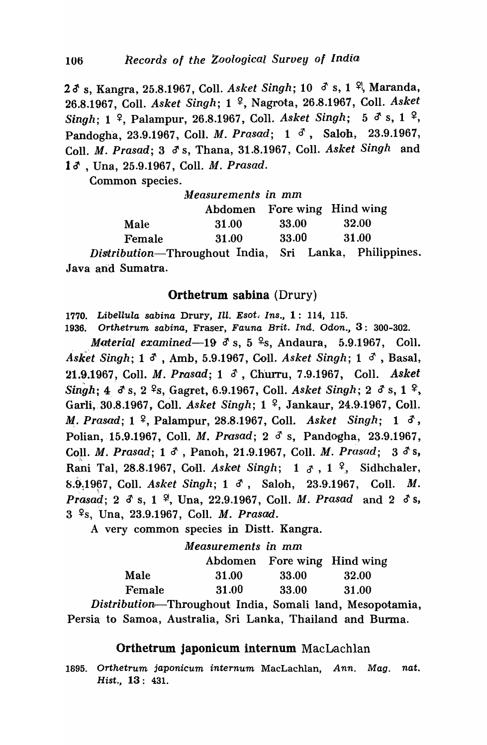23 s, Kangra, 25.8.1967, Coll. *Asket Singh*; 10 3 s, 1 <sup>2</sup>, Maranda, 26.8.1967, Coll. *Asket Singh*; 1<sup>2</sup>, Nagrota, 26.8.1967, Coll. *Asket Singh*; 1 <sup>2</sup>, Palampur, 26.8.1967, Coll. *Asket Singh*; 5  $\delta$  s, 1 <sup>2</sup>, Pandogha, 23.9.1967, Coll. *M. Prasad*; 1  $\delta$ , Saloh, 23.9.1967, Coll. *M. Prasad*; 3  $\delta$  s, Thana, 31.8.1967, Coll. *Asket Singh and* 1 $\delta$ , Una, 25.9.1967, Coll. *M. Prasad.* 

Common species.

|        | Measurements in mm                                                     |                                                     |                             |
|--------|------------------------------------------------------------------------|-----------------------------------------------------|-----------------------------|
|        |                                                                        |                                                     | Abdomen Fore wing Hind wing |
| Male   | 31.00                                                                  | 33.00                                               | 32.00                       |
| Female | 31.00                                                                  | 33.00                                               | 31.00                       |
|        | $\mathbf{r}$ . The contract of $\mathbf{r}$ is the set of $\mathbf{r}$ | $C_{\alpha}$ $T_{\alpha}$ $T_{\alpha}$ $T_{\alpha}$ | $\mathbf{L} \mathbf{1}$     |

*Distribution-Throughout* India, Sri Lanka, Philippines\_ Java and Sumatra.

## Orthetrum sabina (Drury)

1770. Libellula sabina Drury, Ill. Esot. Ins., 1: 114, 115.

1936. Orthetrum sabina, Fraser, Fauna Brit. Ind. Odon., 3: 300-302.

*Material examined*—19  $\delta$  s, 5  $\frac{\sigma}{\epsilon}$ s, Andaura, 5.9.1967, Coll. *Asket Singh;* 1  $\delta$ , Amb, 5.9.1967, Coll. *Asket Singh*; 1  $\delta$ , Basal, 21.9.1967 ~ Call. M. *Prasad;* 1 6', Churru, 7.9.1967, Call. *Asket Singh*; 4.  $\sigma$  s, 2.  $\frac{6}{5}$ , Gagret, 6.9.1967, Coll. *Asket Singh*; 2.  $\sigma$  s, 1.  $\frac{6}{5}$ , Garli, 30.8.1967, Coll. *Asket Singh*; 1<sup>2</sup>, Jankaur, 24.9.1967, Coll. M,. *Prasad;* 1 ~, PaIampur, 28.8.1967, Call. *Asket Singh;* 1 3', Polian, 15.9.1967, Coll. *M. Prasad*; 2  $\delta$  s, Pandogha, 23.9.1967, Coll. *M. Prasad*; 1  $\delta$ , Panoh, 21.9.1967, Coll. *M. Prasad*; 3  $\delta$ s, Rani Tal, 28.8.1967, Coll. Asket Singh;  $1 \delta$ ,  $1^9$ , Sidhchaler, 8.9.1967, Coll. *Asket Singh*; 1  $\delta$ , Saloh, 23.9.1967, Coll. *M. Prasad;* 2  $\delta$  s, 1  $\frac{9}{7}$ , Una, 22.9.1967, Coll. *M. Prasad* and 2  $\delta$  s, 3 ~s, Una, 23.9'.1967, Call. *M. Prasad.* 

A very common species in Distt. Kangra.

|        | Measurements in mm |                             |       |
|--------|--------------------|-----------------------------|-------|
|        |                    | Abdomen Fore wing Hind wing |       |
| Male   | 31.00              | 33.00                       | 32.00 |
| Female | 31.00              | 33.00                       | 31.00 |

*Distribution.-Throughout* India, Somali land, Mesopotamia, Persia to Samoa, Australia, Sri Lanka, Thailand and Burma.

# Orthetrum japonicum internum MacLachlan

*1895.* Orthetrum japonicum internum MacLachlan, Ann. Mag. nat. Hist., 13: 431.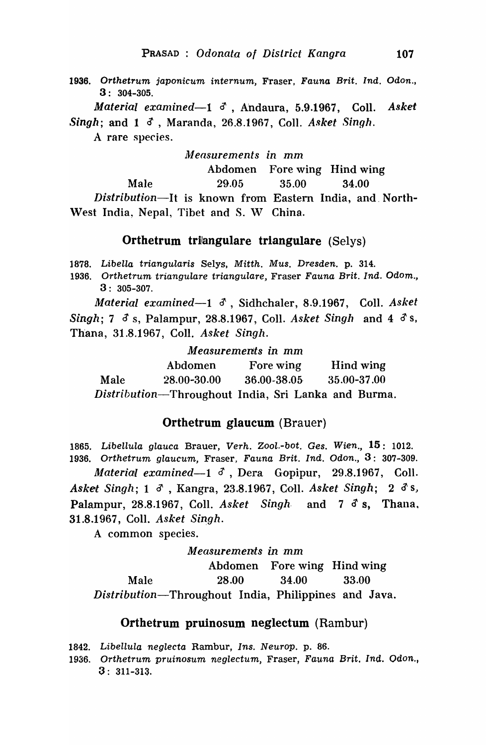1936. Orthetrum japonicum internum, Fraser, Fauna Brit. Ind. Odon., 3: 304-305.

*Material exanlined-l* 6' , Andaura, 5.9.1967, CoIl. *Askelt*   $Singh$ ; and  $1 \,$   $\delta$ , Maranda, 26,8.1967, Coll. *Asket Singh.* 

A rare species.

#### *111easurements* in mm

Abdomen Fore wing Hind wing

Male 29.05 35.00 34.00

*Distribution*—It is known from Eastern India, and North-West India, Nepal, Tibet and S. W China.

### Orthetrum triangulare triangulare (Selys)

1878. Libella triangularis Selys, Mitth. Mus. Dresden. p. 314.

1936. Orthetrum triangulare triangulare, Fraser Fauna Brit. Ind. Odom., 3: 305-307.

*Material examined*-1  $\delta$ , Sidhchaler, 8.9.1967, Coll. Asket *Singh; 7*  $\delta$  *s, Palampur, 28.8.1967, Coll. Asket Singh and 4*  $\delta$  *s,* Th'ana, 31.8.1967, Coll. *Asket Singh.* 

*Measurements in* mm

|      | Abdomen                                             | Fore wing   | Hind wing       |
|------|-----------------------------------------------------|-------------|-----------------|
| Male | 28.00-30.00                                         | 36.00-38.05 | $35.00 - 37.00$ |
|      | Distribution-Throughout India, Sri Lanka and Burma. |             |                 |

## Orthetrum glaucum (Brauer)

1865. Libellula glauca Brauer, Verh. Zool.-bot. Ges. Wien.,  $15:1012$ . 1936. Orthetrum glaucum, Fraser, Fauna Brit. Ind. Odon.,  $3: 307-309$ . *Material examined*-1  $\delta$ , Dera Gopipur, 29.8.1967, Coll. Ask~t *Singh;* 1 0' , Kangra, 23.8.1967, COllI. *Asket Singh;* 2 d'S, Palampur, 28.8.1967, Coll. *Asket Singh* and 7 d's. Thana. 31.8.1967, Coll. *Asket Singh.* 

A common species.

### *M eaSUremel'lts in 'mm*

Abdomen Fore wing Hind wing Male 28.00 34.00 33.00 *Distribution-Throughout* India, Philippines and Java.

### Orthetrum pruinosum neglectum (Rambur)

1842. Libellula neglecta Rambur, Ins. Neurop. p. 86.

1936. Orthetrum pruinosum neglectum, Fraser, Fauna Brit. Ind. Odon., 3: 311-313.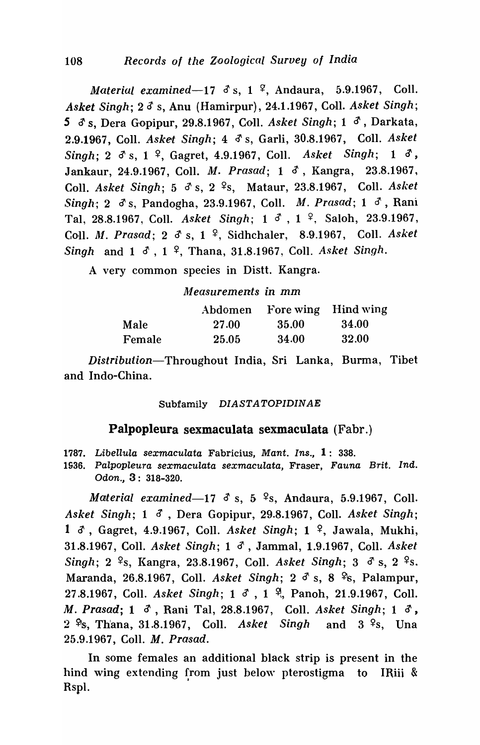*Material examined*-17  $\delta$  s, 1  $\frac{\sigma}{\sigma}$ , Andaura, 5.9.1967, Coll. *Asket Singh-;* 2 d s, Anu (Hamirpur), 24.1.1967, ColI. *Asket Singh; 5* d' s, Dera Gopipur, 29.8.1967, ColI. *Asket Singh;* 1 d', Darkata, 2.9.1967, ColI. *Asket Singh;* 4 ~ s, Garli, 30.8.1967, ColI. *Asket Singh;* 2 *d'* s, 1 ~, Gagret, 4.9.1967, ColI. *Asket Singh;* 1 d', Jankaur, 24.9.1967, Coll. *M. Prasad;* 1 d', Kangra, 23.8.1967, Coll. *Asket Singh*; 5  $\delta$  s, 2 <sup>2</sup>s, Mataur, 23.8.1967, Coll. *Asket Singh-;* 2 *d's,* Pandogha, 23.9.1967, Coll. *M. Prasad;* 1 d', Rani Tal, 28.8.1967, Coll. Asket Singh; 1 <sup>3</sup>, 1 <sup>2</sup>, Saloh, 23.9.1967, Coll. *M. Prasad;* 2 d' s, 1 <sup>9</sup>, Sidhchaler, 8.9.1967, Coll. *Asket Singh and 1*  $\delta$ *, 1 <sup>2</sup>, Thana, 31.8.1967, Coll. <i>Asket Singh.* 

A very common species in Distt. Kangra.

*111 easurements in* mm

|        | Abdomen      |       | Fore wing Hind wing |
|--------|--------------|-------|---------------------|
| Male   | <b>27.00</b> | 35.00 | -34.00              |
| Female | 25.05        | 34.00 | 32.00               |

*Distribution*-Throughout India, Sri Lanka, Burma, Tibet and Indo-China.

Subfamily DIASTATOPIDINAE

## Palpopleura sexmaculata sexmaculata (Fabr.)

1787. Libellula sexmaculata Fabricius, Mant. Ins.,  $1: 338$ .

1936. Palpopleura sexmaculata sexmaculata, Fraser, Fauna Brit. Ind. Odon., 3: 318-320.

*Material examined*-17  $\delta$  s, 5  $\frac{6}{5}$ , Andaura, 5.9.1967, Coll. *Asket Singh; 1 3, Dera Gopipur, 29.8.1967, Coll. Asket Singh;* 1  $\delta$ , Gagret, 4.9.1967, Coll. *Asket Singh*; 1 <sup>2</sup>, Jawala, Mukhi, 31.8.1967, ColI. *Asket Singh;* 1 *d',* Jammal, 1.9.1967, ColI. *Asket Singh*; 2 <sup>2</sup>s, Kangra, 23.8.1967, Coll. *Asket Singh*; 3  $\delta$  s, 2 <sup>2</sup>s. Maranda, 26.8.1967, Coll. *Asket Singh*; 2  $\delta$  s, 8  $\frac{\delta}{\delta}$ , Palampur, 27.8.1967, Coll. *Asket Singh*; 1  $\delta$ , 1  $\frac{9}{1}$ , Panoh, 21.9.1967, Coll. *M. Prasad*; 1  $\delta$ , Rani Tal, 28.8.1967, Coll. *Asket Singh*; 1  $\delta$ , 2 <sup>9</sup>s, Thana, 31.8.1967, Coll. Asket Singh and 3 <sup>9</sup>s, Una 25.9.1967, ColI. *M. Prasad.* 

In some females an additional black strip is present in the hind wing extending from just below pterostigma to IRiii & Rspl.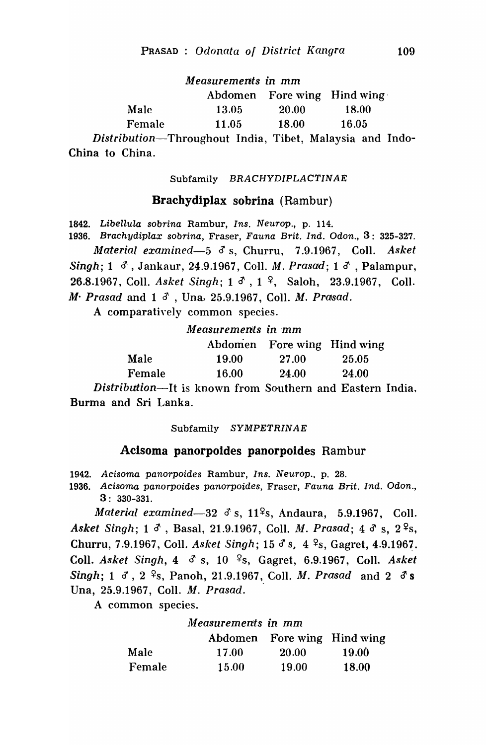*Measurements* in mm Abdomen Fore wing Hind wing' Male 13.05 20.00 18.00 Female 11.05 18.00 16.05

*Distribution-Throughout* India, Tibet, Malaysia and Indo-China to China.

#### Subfamily BRACHYDIPLACTINAE

### Bracbydiplax sobrina (Rambur)

1842. Libellula sobrina Rambur, Ins. Neurop., p. 114. 1936. Brachydiplax sobrina, Fraser, Fauna Brit. Ind. Odon., 3: 325-327. *Material examined*-5  $\delta$  s, Churru, 7.9.1967, Coll. Asket *Singh*; 1  $\sigma$ , Jankaur, 24.9.1967, Coll. *M. Prasad*; 1  $\sigma$ , Palampur, 26.8.1967, Coll. *Asket Singh*; 1  $\sigma$ , 1 <sup>2</sup>, Saloh, 23.9.1967, Coll. *M*· *Prasad* and 1  $\delta$ , Una, 25.9.1967, Coll. *M. Prasad.* 

A comparatively common species.

*Measurements in'mm* 

|        |       | Abdomen Fore wing Hind wing |       |
|--------|-------|-----------------------------|-------|
| Male   | 19.00 | 27.00                       | 25.05 |
| Female | 16.00 | 24.00                       | 24.00 |

*Distribution*—It is known from Southern and Eastern India. Burma and Sri Lanka.

#### Subfamily SYMPETRINAE

### Aclsoma panorpoldes panorpoldes Rambur

1942. Acisoma panorpoides Rambur, Ins. Neurop., p. 28.

1936. Acisoma panorpoides panorpoides, Fraser, Fauna Brit. Ind. Odon., 3: 330-331.

*Material examined*-32  $\delta$  s, 11<sup>2</sup>s, Andaura, 5.9.1967, Coll. *Asket Singh;* 1  $\delta$ , Basal, 21.9.1967, Coll. *M. Prasad;* 4  $\delta$  s, 2<sup>2</sup>s, Churru, 7.9.1967, Coll. *Asket Singh*; 15 d<sup>s</sup>s, 4 <sup>9</sup>s, Gagret, 4.9.1967. Coll. *Asket Singh*, 4  $\sigma$  s, 10 <sup>9</sup>s, Gagret, 6.9.1967, Coll. *Asket Singh*; 1  $\sigma$ , 2 <sup>2</sup>s, Panoh, 21.9.1967, Coll. *M. Prasad* and 2  $\sigma$ s Una, 25.9.1967, CoIl. *M. Prasad.* 

A common species.

### *Measurements in* mm

|        | Abdomen      | Fore wing Hind wing |              |
|--------|--------------|---------------------|--------------|
| Male   | 17.00        | <b>20.00</b>        | <b>19.00</b> |
| Female | <b>15.00</b> | 19.00               | <b>18.00</b> |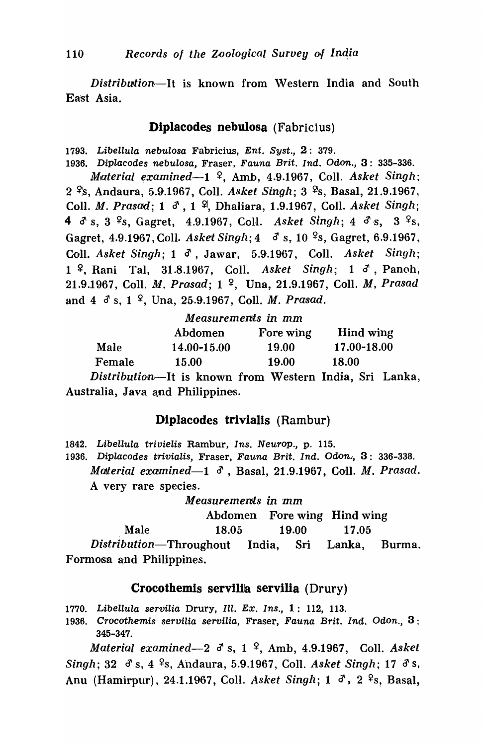*Distribution*-It is known from Western India and South East Asia.

## Diplacodes nebulosa (Fabricius)

*1793.* Libellula nebulosa Fabricius, Ent. Syst., 2: 379.

*1936.* Diplacodes nebulosa, Fraser, Fauna Brit. Ind. Odon., 3: 335-336. *Material examined*—1 <sup>2</sup>, Amb, 4.9.1967, Coll. *Asket Singh*; 2 <sup>9</sup>s, Andaura, 5.9.1967, Coll. *Asket Singh*; 3 <sup>9</sup>s, Basal, 21.9.1967, Coll. *M. Prasad*; 1  $\delta$ , 1 <sup>9</sup>, Dhaliara, 1.9.1967, Coll. *Asket Singh*; 4  $\delta$  s, 3 <sup>9</sup>s, Gagret, 4.9.1967, Coll. Asket Singh; 4  $\delta$  s, 3 <sup>9</sup>s, Gagret, 4.9.1967, Coll. *Asket Singh*;  $4 \frac{3}{5}$  s,  $10^{9}$ s, Gagret, 6.9.1967, Coll. *Asket Singh*; 1  $\delta$ , Jawar, 5.9.1967, Coll. *Asket Singh*; 1 <sup>2</sup>, Rani Tal, 31.8.1967, Coll. *Asket Singh*; 1 <sup>3</sup>, Panoh, 21.9.1967, Call. M. *Prasad;* 1 ~, Una, 21.9.1967, Call. M, *Prasad*  and 4  $\delta$  s, 1 <sup>2</sup>, Una, 25.9.1967, Coll. *M. Prasad.* 

| Measurements in mm                |              |       |             |  |
|-----------------------------------|--------------|-------|-------------|--|
| Hind wing<br>Abdomen<br>Fore wing |              |       |             |  |
| Male                              | 14.00-15.00  | 19.00 | 17.00-18.00 |  |
| Female                            | <b>18.00</b> |       |             |  |

*Distribution*-It is known from Western India, Sri Lanka, Australia, Java and Philippines.

# Diplacodes trivialls (Rambur)

1842. Libellula trivielis Rambur, Ins. Neurop., p. 115.

1936. Diplacodes trivialis, Fraser, Fauna Brit. Ind. Odon., 3: 336-338. *Material examined*-1  $\delta$ , Basal, 21.9.1967, Coll. *M. Prasad.* A very rare species.

*Measurements in* mm

Abdomen Fore wing Hind wing

Male 18.05 19.00 17.05

*Distribution-Throughout* India, Sri Lanka, Burma. Formosa and Philippines.

## Crocothemis servilia servilia (Drury)

- 1770. Libellula servilia Drury, Ill. Ex. Ins., 1: 112, 113.
- *1936.* Crocothemis servilia servilia, Fraser, Fauna Brit. Ind. Odon., 3: 345-347.

*Material examined*-2  $\sigma$  s, 1 <sup>2</sup>, Amb, 4.9.1967, Coll. *Asket Singh;* 32  $\sigma$  s, 4 <sup>9</sup>s, Andaura, 5.9.1967, Coll. *Asket Singh;* 17  $\sigma$  s, Anu (Hamirpur), 24.1.1967, Coll. *Asket Singh*; 1  $\delta$ , 2 <sup>2</sup>s, Basal,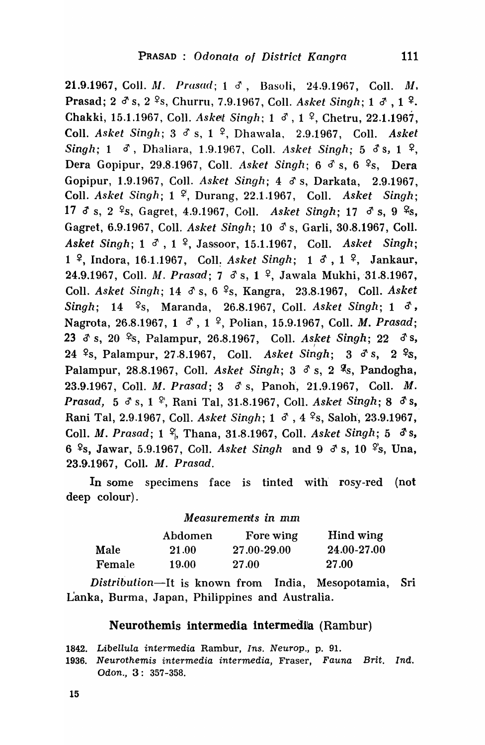21.9.1967, Coll. *M. Prasad*; 1 d, Basoli, 24.9.1967, Coll. *M*, Prasad; 2  $\delta$  s, 2  $\delta$ s, Churru, 7.9.1967, Coll. *Asket Singh*; 1  $\delta$ , 1  $\delta$ . Chakki, 15.1.1967, Coll. *Asket Singh*; 1  $\delta$ , 1  $\frac{9}{7}$ , Chetru, 22.1.1967, Coll. *Asket Singh*; 3 d<sup>o</sup> s, 1 <sup>2</sup>, Dhawala, 2.9.1967, Coll. *Asket Singh*; 1  $\sigma$ , Dhaliara, 1.9.1967, Coll. *Asket Singh*; 5  $\sigma$ s, 1  $\sigma$ , Dera Gopipur, 29.8.1967, Coll. *Asket Singh*;  $6 \delta s$ ,  $6 \epsilon s$ , Dera Gopipur, 1.9.1967, CoIl. *Asket Singh; 40's,* Darkata, 2.9.1967, Coil. *Asket Singh;* 1 ~, Durang, 22.1.1967, CoIl. *Asket Singh;*  17  $\delta$  s, 2 <sup>2</sup>s, Gagret, 4.9.1967, Coll. Asket Singh; 17  $\delta$  s, 9 <sup>2</sup>s, Gagret, 6.9.1967, Coll. *Asket Singh*; 10  $\delta$  s, Garli, 30.8.1967, Coll. *Asket Singh*; 1  $\sigma$ , 1  $\Omega$ , Jassoor, 15.1.1967, Coll. *Asket Singh*; 1<sup>2</sup>, Indora, 16.1.1967, Coll. *Asket Singh*; 1  $\delta$ , 1<sup>2</sup>, Jankaur, 24.9.1967, Coll. *M. Prasad*; 7  $\delta$  s, 1 <sup>2</sup>, Jawala Mukhi, 31.8.1967, Coll. *Asket Singh*; 14  $\sigma$  s, 6 <sup>9</sup>s, Kangra, 23.8.1967, Coll. *Asket Singh*; 14 <sup>9</sup>s, Maranda, 26.8.1967, Coll. *Asket Singh*; 1  $\delta$ , Nagrota, 26.8.1967, 1  $\sigma$ , 1  $\Omega$ , Polian, 15.9.1967, Coll. *M. Prasad*; 23 3' s, 20 ~s, Palampur, 26.8.1967, ColI. *Asket Singh;* 22 d'S, <sup>I</sup> 24 <sup>2</sup>s, Palampur, 27.8.1967, Coll. Asket Singh; 3 d's, 2 <sup>2</sup>s, Palampur, 28.8.1967, Coll. *Asket Singh*; 3  $\delta$  s, 2 <sup>9</sup>s, Pandogha, 23.9.1967, ColI. M. *Prasad;* 3 d' s, Panoh', 21.9.1967, ColI. M. *Prasad,* 5 d's, 1 <sup>p</sup>, Rani Tal, 31.8.1967, Coll. *Asket Singh*; 8 d's, Rani Tal, 2.9.1967, Coll. *Asket Singh*; 1  $\delta$ , 4  $\frac{6}{5}$ , Saloh, 23.9.1967, ColI. M. *Prasad;* 1 ~, Thana, 31.8.1967, CoIl. *Asket Singh;* 5 d'S, 6  $\text{\degree s}$ , Jawar, 5.9.1967, Coll. *Asket Singh* and 9  $\text{\degree s}$ , 10  $\text{\degree s}$ , Una, 23.9.1967, ColI. *M. Prasad.* 

In some specimens face is tinted with rosy-red (not deep colour).

### *Measurements in* mm

|        | Abdomen | Fore wing   | Hind wing   |
|--------|---------|-------------|-------------|
| Male   | 21.00   | 27.00-29.00 | 24.00-27.00 |
| Female | 19.00   | 27.00       | 27.00       |

*Distribution-It* is known from India, Mesopotamia, Sri L'anka, Burma, Japan, Philippines and Australia.

# Neurothemis intermedia intermedila (Rambur)

1842. Libellula intermedia Rambur, Ins. Neurop., p. 91.

*1936.* Neurothemis intermedia intermedia, Fraser, Fauna Brit. Ind. Odon., 3: 357 -358.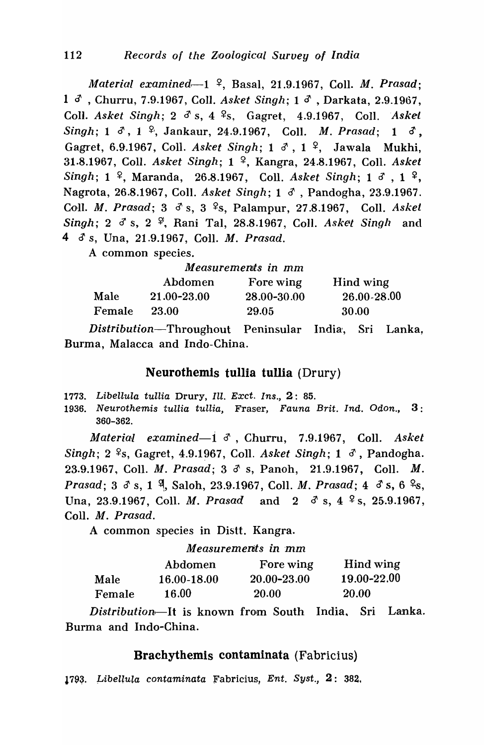*111aterial examined-1* ~, Basal, 21.9.1967, Coil. M. *Prasad;*  1 d<sup>3</sup>, Churru, 7.9.1967, Coll. *Asket Singh*; 1 d<sup>3</sup>, Darkata, 2.9.1967, Coll. *Asket Singh*; 2  $\delta$  s, 4 <sup>2</sup>s, Gagret, 4.9.1967, Coll. *Askel Singh;* 1  $\delta$ , 1  $\frac{6}{7}$ , Jankaur, 24.9.1967, Coll. *M. Prasad;* 1  $\delta$ , Gagret, 6.9.1967, Coll. *Asket Singh*; 1  $\delta$ , 1 <sup>2</sup>, Jawala Mukhi, 31.8.1967, Coll. *Asket Singh;* 1 ~, Kangra, 24.8.1967, ColI. *Asket Singh*; 1 <sup>2</sup>, Maranda, 26.8.1967, Coll. *Asket Singh*; 1 <sup>3</sup>, 1 <sup>2</sup>, Nagrota, 26.8.1967, Coll. *Asket Singh*; 1  $\delta$ , Pandogha, 23.9.1967. Coll. *M. Prasad*; 3  $\delta$  s, 3 <sup>2</sup>s, Palampur, 27.8.1967, Coll. *Asket* Singh; 2  $\sigma$  s, 2  $\frac{\varphi}{r}$ , Rani Tal, 28.8.1967, Coll. *Asket Singh* and 4 (f s, Una, 21.9.1967, ColI. M. *Prasad.* 

A common species.

| Measurements in mm |                 |             |             |
|--------------------|-----------------|-------------|-------------|
|                    | Abdomen         | Fore wing   | Hind wing   |
| Male               | $21.00 - 23.00$ | 28.00-30.00 | 26.00-28.00 |
| Female             | 23.00           | 29.05       | 30.00       |

*Distribution-Throughout* Peninsular India', Sri Lanka, Burma, Malacca and Indo-China.

# Neurothemis tullia tuUia (Drury)

- 1773. Libellula tullia Drury, Ill. Exct. Ins., 2: 85.
- 1936. Neurothemis tullia tullia, Fraser, Fauna Brit. Ind. Odon., 3 : 360-362.

*Material [ examined-i d'* ,Churru, 7.9.1967, CoIl. *Asket Singh; 2* <sup>2</sup>s, *Gagret, 4.9.1967, Coll. <i>Asket Singh; 1 <sup>3</sup>, Pandogha.* 23.9.1967, Coll. *M. Prasad;* 3  $\delta$  s, Panoh, 21.9.1967, Coll. *M. Prasad; 3 d s, 1 <sup>9</sup>, Saloh, 23.9.1967, Coll. <i>M. Prasad; 4 d s, 6 <sup>9</sup>s,* Una, 23.9.1967, Coll. *M. Prasad* and  $2 \frac{3}{5}$ ,  $4 \frac{9}{5}$ , 25.9.1967, Coll. M. Prasad.

A common species in Distt. Kangra.

*Measurements in'mm* 

|        | Abdomen     | Fore wing    | Hind wing   |
|--------|-------------|--------------|-------------|
| Male   | 16.00-18.00 | 20.00-23.00  | 19.00-22.00 |
| Female | 16.00       | <b>20.00</b> | 20.00       |

*Distribution,-It* is known from South India, Sri Lanka. Burma and Indo-China.

## Bracbytbemis contaminata (Fabricius)

1793. Libellula contaminata Fabricius, Ent. Syst.,  $2: 382$ .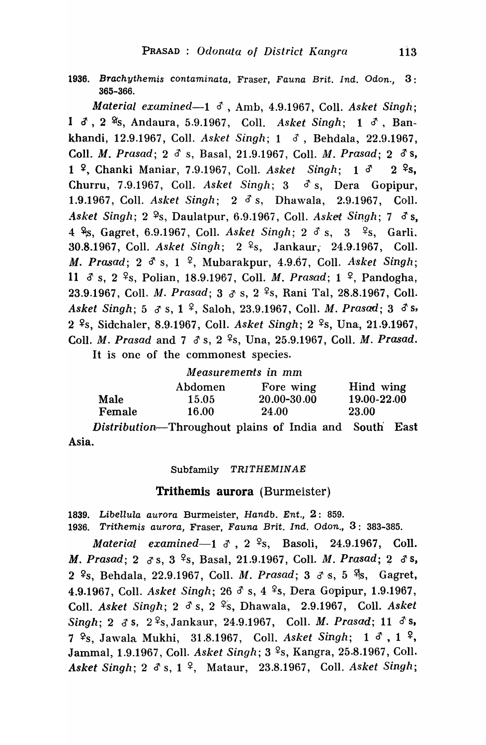1936. Brachythemis contaminata, Fraser, Fauna Brit. Ind. Odon., 3 : 365-366.

*Material examined-l* d', Anlb, 4.9.1967, Coll. *Asket Singh;*  1 d, 2 <sup>9</sup>s, Andaura, 5.9.1967, Coll. Asket Singh; 1 d, Bankhandi, 12.9.1967, ColI. *Asket Singh;* 1 d', Behdala, 22.9.1967, ColI. M. *Prasad;* 2 d' s, Basal, 21.9.1967, ColI. M. *Prasad;* 2 d's, 1  $\frac{1}{2}$ , Chanki Maniar, 7.9.1967, Coll. Asket Singh; 1  $\delta$  2  $\frac{1}{2}$ s, Churru, 7.9.1967, CoIl. *Asket Singh;* 3 d' s, Dera Gopipur, 1.9.1967, ColI. *Asket Singh;* 2 d' s, Dhawala, 2.9.1967, ColI. *Asket Singh; 2*  $\frac{9}{5}$ , Daulatpur, 6.9.1967, Coll. *Asket Singh; 7*  $\delta$  *s,* 4 <sup>9</sup> 8, Gagret, 6.9.1967, Coll. *Asket Singh*; 2 <sup>3</sup> s, 3 <sup>9</sup> s, Garli. 30.8.1967, CoIl. *Asket Singh;* 2 ~s, Jankaur; 24.9.1967, ColI. *M. Prasad;* 2  $\delta$  s, 1  $\frac{6}{7}$ , Mubarakpur, 4.9.67, Coll. *Asket Singh*; 11 d' s, 2 ~s, Polian, 18.9.1967, ColI. M. *Prasad;* 1 ~, Pandogha, 23.9.1967, Coll. *M. Prasad*; 3  $\sigma$  s, 2 <sup>2</sup>s, Rani Tal, 28.8.1967, Coll. *Asket Singh; 5 3 s, 1* <sup>2</sup>, Saloh, 23.9.1967, Coll. *M. Prasad; 3 3 s,* 2<sup>2</sup>s, Sidchaler, 8.9.1967, Coll. *Asket Singh*; 2<sup>2</sup>s, Una, 21.9.1967, Coll. *M. Prasad and 7*  $\delta$  *s, 2* <sup>9</sup>s, Una, 25.9.1967, Coll. *M. Prasad.* It is one of the commonest species.

### *Measurements in* mm

|        | Abdomen | Fore wing    | Hind wing    |
|--------|---------|--------------|--------------|
| Male   | 15.05   | 20.00-30.00  | 19.00-22.00  |
| Female | 16.00   | <b>24.00</b> | <b>23.00</b> |

*Distribution*—Throughout plains of India and South East Asia.

#### Subfamily TRITHEMINAE

### Trithemis aurora (Burmeister)

1839. Libellula aurora Burmeister, Handb. Ent., 2: 859. 1936. Trithemis aurora, Fraser, Fauna Brit. Ind. Odon., 3: 383-385.

*Material examined* $-1$   $\delta$ , 2  $\frac{9}{5}$ , Basoli, 24.9.1967, Coll. *M. Prasad;* 2 *d's,* 3<sup>2</sup>s, Basal, 21.9.1967, Coll. *M. Prasad;* 2 *d's,* 2 <sup>2</sup>s, Behdala, 22.9.1967, Coll. *M. Prasad*; 3 3 s, 5 <sup>2</sup>s, Gagret, 4.9.1967, Coll. *Asket Singh*; 26  $\delta$  s, 4 <sup>2</sup>s, Dera Gopipur, 1.9.1967, Coll. *Asket Singh*; 2  $\delta$  s, 2 <sup>o</sup>s, Dhawala, 2.9.1967, Coll. *Asket Singh; 2 3 s, 2<sup>9</sup>s, Jankaur, 24.9.1967, Coll. <i>M. Prasad; 11 3 s,*  $7 \,$   $\frac{\mathcal{L}}{\mathcal{S}}$ , Jawala Mukhi, 31.8.1967, Coll. *Asket Singh*; 1  $\delta$ , 1  $\frac{\mathcal{L}}{\mathcal{S}}$ , Jammal, 1.9.1967, Coll. Asket Singh; 3<sup>2</sup>s, Kangra, 25.8.1967, Coll. *Asket Singh; 2 d's, 1 <sup>9</sup>, Mataur, 23.8.1967, Coll. <i>Asket Singh*;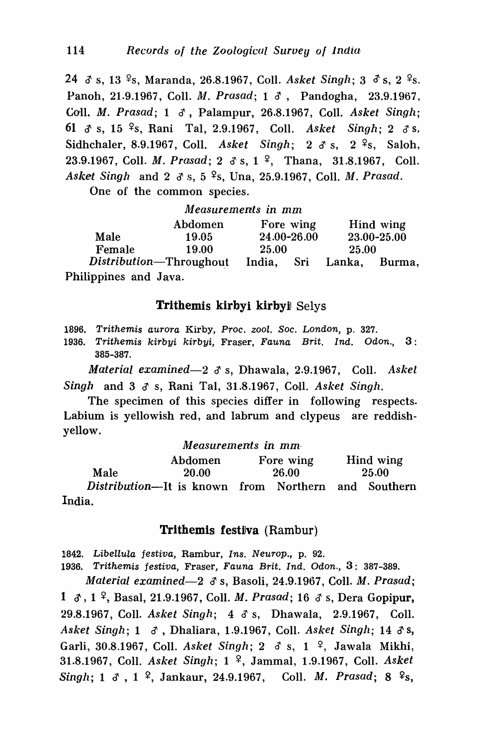24  $\delta$  s, 13 <sup>2</sup>s, Maranda, 26.8.1967, Coll. *Asket Singh*; 3  $\delta$  s, 2 <sup>2</sup>s. Panoh, 21.9.1967, Coll. *M. Prasad;* 1  $\delta$ , Pandogha, 23.9.1967, Coll~ *M. Prasad;* 1 d', Palampur, 26.8.1967, Coll. *Asket Singh;*  61 6' s, 15· ~s, Rani Tal, 2.9.1967, ColI. *Asket Singh;* 2 d'S, Sidhchaler, 8.9.1967, Coll. *Asket Singh*: 2 d s, 2 <sup>9</sup>s, Saloh, 23.9.1967, Coll. *M. Prasad*; 2  $\delta$  s, 1 <sup>2</sup>, Thana, 31.8.1967, Coll. Asket Singh and 2  $\sigma$  s, 5 <sup>9</sup>s, Una, 25.9.1967, Coll. *M. Prasad.* 

One of the common species.

|                       | Measurements in mm      |       |             |              |                          |
|-----------------------|-------------------------|-------|-------------|--------------|--------------------------|
|                       | Abdomen                 |       | Fore wing   |              | Hind wing                |
| Male                  | 19.05                   |       | 24.00-26.00 |              | 23.00-25.00              |
| Female                | 19.00                   | 25.00 |             | <b>25.00</b> |                          |
|                       | Distribution-Throughout |       |             |              | India, Sri Lanka, Burma, |
| Philippines and Java. |                         |       |             |              |                          |

## Trithemis kirbyi kirbyil Selys

1896. Trithemis aurora Kirby, Proc. zool. Soc. London, p. 327.

1936. Trithemis kirbyi kirbyi, Fraser, Fauna Brit. Ind. Odon., 3 : 385-387.

*Material examined-2 (f* s, Dhawala, 2.9.1967, CoIl. *Asket Singh* and 3  $\sigma$  s, Rani Tal, 31.8.1967, Coll. *Asket Singh*.

The specimen of this species differ in following respects. Labium is yellowish red, and labrum and clypeus are reddishyellow.

|                                                             | Measurements in mm |       |           |       |           |
|-------------------------------------------------------------|--------------------|-------|-----------|-------|-----------|
|                                                             | Abdomen            |       | Fore wing |       | Hind wing |
| Male                                                        | 20.00              | 26.00 |           | 25.00 |           |
| <i>Distribution</i> —It is known from Northern and Southern |                    |       |           |       |           |
| India.                                                      |                    |       |           |       |           |

## Trithemis festiva (Rambur)

1842. Libellula festiva, Rambur, Ins. Neurop., p. 92.

1936. Trithemis festiva, Fraser, Fauna Brit. Ind. Odon., 3: 387-389.

*Material examined*—2  $\delta$  s, Basoli, 24.9.1967, Coll. *M. Prasad*; 1  $\delta$ , 1<sup>2</sup>, Basal, 21.9.1967, Coll. *M. Prasad*; 16  $\delta$  s, Dera Gopipur, 29.8.1967, ColI. *Asket Singh;* 4 d'S, Dhawala, 2.9.1967, ColI. *Asket Singh; 1 &, Dhaliara, 1.9.1967, Coll. <i>Asket Singh; 14 & s,* Garli, 30.8.1967, Coll. *Asket Singh*; 2  $\delta$  s, 1  $\frac{9}{7}$ , Jawala Mikhi, 31.8.1967, CoIl. *Asket Singh;* 1 ~, Jammal, 1.9.1967, ColI. *Asket Singh;* 1  $\delta$ , 1  $\frac{9}{7}$ , Jankaur, 24.9.1967, Coll. *M. Prasad;* 8  $\frac{9}{7}$ s,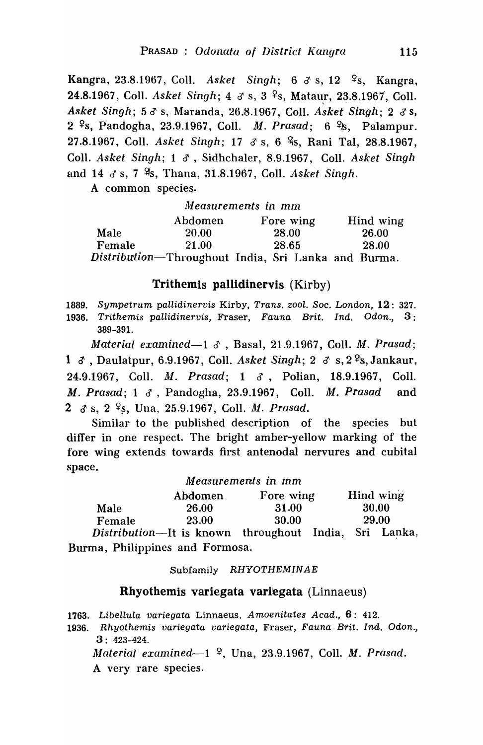Kangra, 23.8.1967, Coll. *Asket Singh*; 6 3 s, 12 <sup>9</sup>s, Kangra, 24.8.1967, Coll. *Asket Singh*; 4  $\sigma$  s, 3 <sup>2</sup>s, Mataur, 23.8.1967, Coll. *Asket Singh; 5 d' s, Maranda, 26.8.1967, Coll. <i>Asket Singh; 2 d' s,* 2 <sup>9</sup>s, Pandogha, 23.9.1967, Coll. *M. Prasad*; 6 <sup>9</sup>/s, Palampur. 27.8.1967, Coll. *Asket Singh*; 17 & s, 6 %, Rani Tal, 28.8.1967, Coll. *Asket Singh*; 1  $\delta$ , Sidhchaler, 8.9.1967, Coll. *Asket Singh* and 14 d s, 7  $\frac{9}{5}$ , Thana, 31.8.1967, Coll. *Asket Singh.* 

A common species.

| Measurements in mm |         |                                                     |           |  |
|--------------------|---------|-----------------------------------------------------|-----------|--|
|                    | Abdomen | Fore wing                                           | Hind wing |  |
| Male               | 20.00   | 28.00                                               | 26.00     |  |
| Female             | 21.00   | 28.65                                               | 28.00     |  |
|                    |         | Distribution—Throughout India, Sri Lanka and Burma. |           |  |

## Trithemis pallidinervis (Kirby)

1889. Sympetrum pallidinervis Kirby, Trans. zool. Soc. London, 12: 327. 1936. Trithemis pallidinervis, Fraser, Fauna Brit. Ind. Odon., 3: 389-391.

*Material examined-1* d' , Basal, 21.9.1967, CoIl. *M. Prasad,;*  1  $\delta$ , Daulatpur, 6.9.1967, Coll. *Asket Singh*; 2  $\delta$  s, 2<sup>9</sup>s, Jankaur, 24.9.1967, Coll. *M. Prasad; 1 3*, Polian, 18.9.1967, Coll. *M. Prasad;* 1 d, Pandogha, 23.9.1967, Coll. *M. Prasad* and 2  $\delta$  s, 2 <sup>2</sup>s, Una, 25.9.1967, Coll. *M. Prasad.* 

Similar to the published description of the species but differ in one respect. The bright amber-yellow marking of the fore wing extends towards first antenodal nervures and cubital space.

|        |                                | Measurements in mm |                     |  |  |
|--------|--------------------------------|--------------------|---------------------|--|--|
|        | Abdomen                        | Fore wing          | Hind wing           |  |  |
| Male   | <b>26.00</b>                   | 31.00              | 30.00               |  |  |
| Female | 29.00<br>30.00<br><b>23.00</b> |                    |                     |  |  |
|        | Distribution It is known       | throughout India   | $C_{\rm ni}$ I only |  |  |

Distribution-It is known throughout India, Sri Lanka, Burma, Philippines and Formosa.

#### Subfamily RHYOTHEMINAE

### Rhyothemis variegata variegata (Linnaeus)

1763. Libellula variegata Linnaeus, Amoenitates Acad., 6: 412.

1936. Rhyothemis variegata variegata, Fraser, Fauna Brit. Ind. Odon., 3: 423-424.

*Jlateria/ examined.-1* ~, Una, 23.9.1967, ColI. *M. Prasad.*  A very rare species.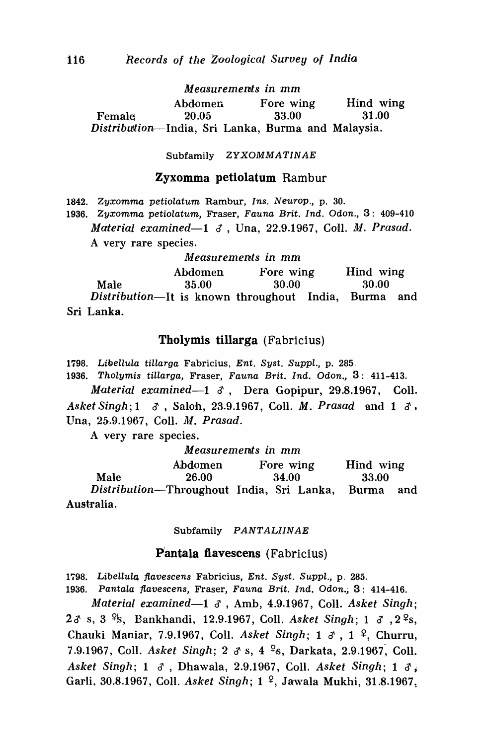*M easuremen/:s in* mm Abdomen Fore wing Hind wing Female! 20.05 33.00 31.00 *Distributlion·-India,* Sri Lanka, Burma and Malaysia.

Subfamily ZYXOMMATINAE

#### Zyxomma petiolatum Rambur

1842. Zyxomma petiolatum Rambur, Ins. Neurop., p. 30.

1936. Zyxomma petiolatum, Fraser, Fauna Brit. Ind. Odon., 3: 409-410 *Material examined*—1 *3*, Una, 22.9.1967, Coll. *M. Prasad.* A very rare species.

*M easuremenls in* mm

Abdomen Fore wing Hind wing Male 35.00 30.00 30.00 *Distribution-It* is known throughout India, Burma and Sri Lanka.

### Tholymis tillarga (Fabricius)

1798. Libellula tiUarga Fabricius, Ent. Syst. Suppl., p. 285.

1936. Tholymis tillarga, Fraser, Fauna Brit. Ind. Odon., 3: 411-413.

*Material examined*—1 *J*, Dera Gopipur, 29.8.1967, Coll. *Asket Singh; 1 d*, Saloh, 23.9.1967, Coll. *M. Prasad* and 1 d, Una, 25.9.1967, Coll. *M. Prasad.* 

A very rare species.

*Measurements in* mm

|            | Abdomen                                         | Fore wing | Hind wing |     |
|------------|-------------------------------------------------|-----------|-----------|-----|
| Male       | 26.00                                           | 34.00     | 33.00     |     |
|            | Distribution—Throughout India, Sri Lanka, Burma |           |           | and |
| Australia. |                                                 |           |           |     |

Subfamily PANTALIINAE

### Pantala flavescens (Fabricius)

1798. Libellula flavescens Fabricius, Ent. Syst. Suppl., p. 285.

1936. Pantala flavescens, Fraser, Fauna Brit. Ind. Odon.; 3: 414-416.

~laterial *examined-1* if , Amb, 4.9.1967, ColI. *Asket Singh;*   $2\delta$  s, 3  $\frac{\varphi_{s}}{\delta}$ , Bankhandi, 12.9.1967, Coll. *Asket Singh*; 1  $\delta$ , 2 $\frac{\varphi_{s}}{\delta}$ , Chauki Maniar, 7.9.1967, Coll. *Asket Singh*; 1  $\delta$ , 1  $\frac{9}{7}$ , Churru, 7.9.1967, Coll. *Asket Singh*; 2  $\sigma$  s, 4 <sup>9</sup>s, Darkata, 2.9.1967, Coll. *Asket Singh; 1 &, Dhawala, 2.9.1967, Coll. <i>Asket Singh; 1 &,* Garli, 30.8.1967, Coll. *Asket Singh*; 1<sup>2</sup>, Jawala Mukhi, 31.8.1967.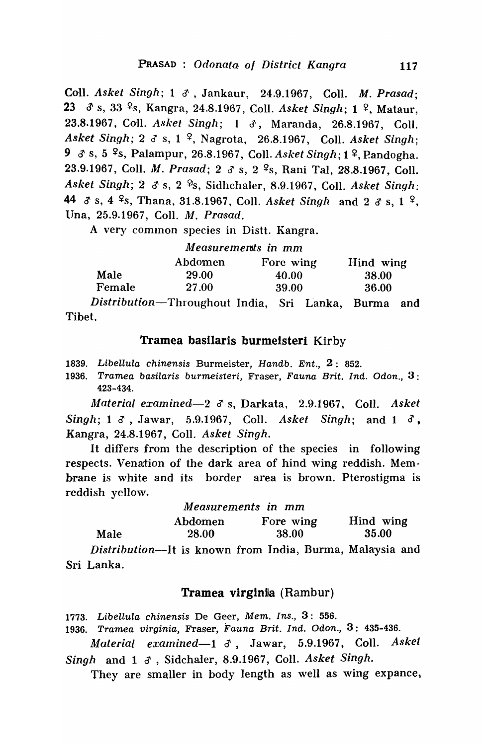ColI. *Asket Singh;* 1 d', Jankaur, 24.9.1967, ColI. *M. Prasad;*  23 *d* s, 33 <sup>o</sup> s, Kangra, 24.8.1967, Coll. *Asket Singh*; 1 <sup>o</sup>, Mataur, 23.8.1967, Coll. *Asket Singh*; 1 &, Maranda, 26.8.1967, Coll. *Asket Singh; 2 3 s, 1 <sup>9</sup>, Nagrota, 26.8.1967, Coll. <i>Asket Singh*; 9 *d* s, 5 <sup>9</sup>s, Palampur, 26.8.1967, Coll. *Asket Singh*; 1 <sup>2</sup>, Pandogha. 23.9.1967, Coll. *M. Prasad*; 2  $\delta$  s, 2 <sup>2</sup>s, Rani Tal, 28.8.1967, Coll. *Asket Singh; 2 3 s, 2 <sup>9</sup>s, Sidhchaler, 8.9.1967, Coll. <i>Asket Singh:* 44  $\delta$  s, 4  $\frac{6}{5}$ , Thana, 31.8.1967, Coll. *Asket Singh* and 2  $\delta$  s, 1  $\frac{6}{5}$ , Una, 25.9.1967, Coll. *M. Prasad.* 

A very common species in Distt. Kangra.

### *Measurements in 'mm*

|        | Abdomen      | Fore wing | Hind wing |
|--------|--------------|-----------|-----------|
| Male   | 29.00        | 40.00     | 38.00     |
| Female | <b>27.00</b> | 39.00     | 36.00     |

*Distribution-Throughout* India, Sri L'anka, Burma and Tibet.

## Tramea basilaris burmeisteri Kirby

1839. Libellula chinensis Burmeister, Handb. Ent., 2: 852.

1936. Tramea basilaris burmeisteri, Fraser, Fauna Brit. Ind. Odon., 3: 423-434.

*Material examined*—2  $\sigma$  s, Darkata, 2.9.1967, Coll. *Askel Singh;* 1  $\delta$ , Jawar, 5.9.1967, Coll. *Asket Singh;* and 1  $\delta$ , Kangra, 24.8.1967, CoIl. *Asket Singh.* 

It differs from the description of the species in following respects. Venation of the dark area of hind wing reddish. Membrane is white and its border area is brown. Pterostigma is reddish yellow.

| Measurements in mm |  |  |
|--------------------|--|--|
|--------------------|--|--|

|      | Abdomen      | Fore wing | Hind wing |
|------|--------------|-----------|-----------|
| Male | <b>28.00</b> | 38.00     | 35.00     |

*Distribution-It* is known from India, Burma, Malaysia and Sri Lanka.

## Tramea virginia (Rambur)

1773. Libellula chinensis De Geer, Mem. Ins., 3: 556.

1936. Tramea virginia, Fraser, Fauna Brit. Ind. Odon., 3: 435-436.

*Material examined-l* d', Jawar, 5.9.1967, ColI. *Asket Singh* and 1 6' , Sidchaler, 8.9.1967, Coll. *Asket Singh.* 

They are smaller in body length as well as wing expance,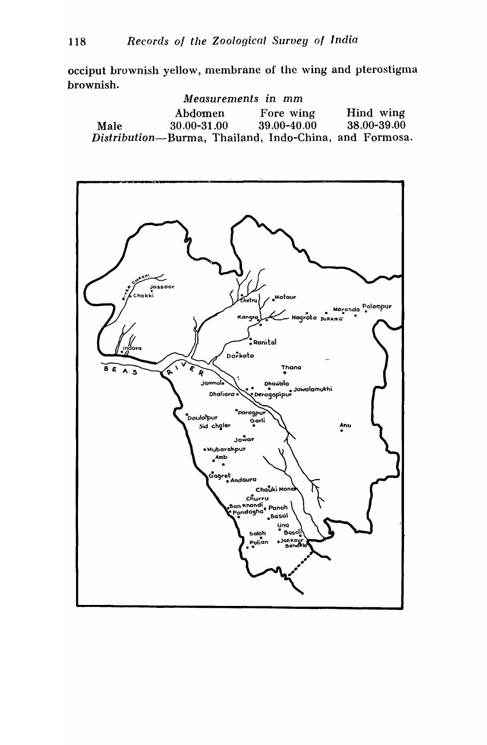occiput brownish yellow, membrane of the wing and pterostigma brownish.